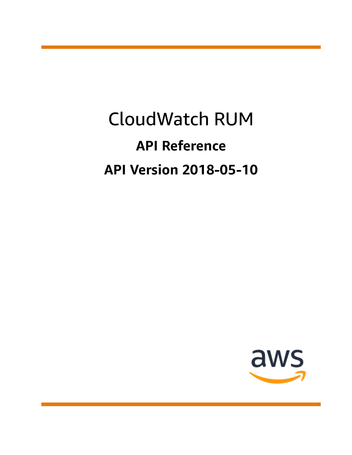# CloudWatch RUM **API Reference API Version 2018-05-10**

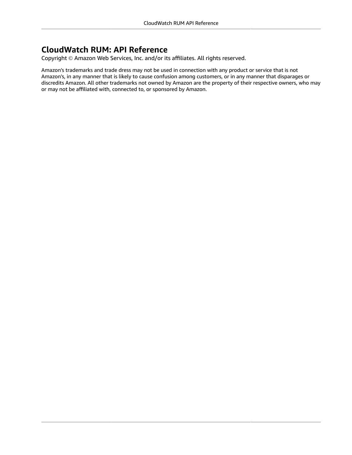### **CloudWatch RUM: API Reference**

Copyright © Amazon Web Services, Inc. and/or its affiliates. All rights reserved.

Amazon's trademarks and trade dress may not be used in connection with any product or service that is not Amazon's, in any manner that is likely to cause confusion among customers, or in any manner that disparages or discredits Amazon. All other trademarks not owned by Amazon are the property of their respective owners, who may or may not be affiliated with, connected to, or sponsored by Amazon.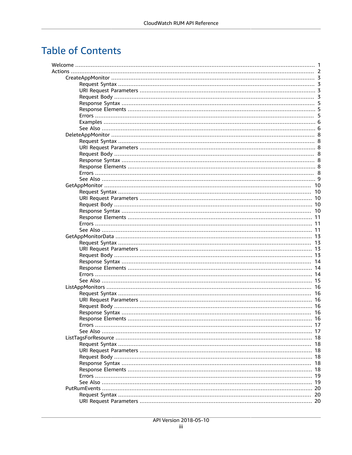# **Table of Contents**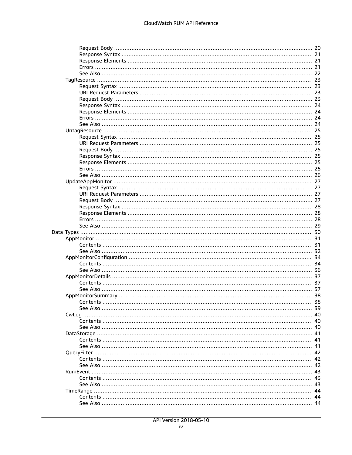| Contents. | 38 |
|-----------|----|
|           |    |
|           |    |
|           |    |
|           |    |
|           |    |
|           |    |
|           |    |
|           |    |
|           |    |
|           |    |
|           |    |
|           |    |
|           |    |
|           |    |
|           |    |
|           |    |
|           |    |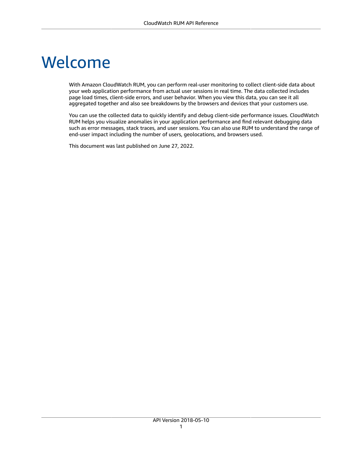# <span id="page-5-0"></span>Welcome

With Amazon CloudWatch RUM, you can perform real-user monitoring to collect client-side data about your web application performance from actual user sessions in real time. The data collected includes page load times, client-side errors, and user behavior. When you view this data, you can see it all aggregated together and also see breakdowns by the browsers and devices that your customers use.

You can use the collected data to quickly identify and debug client-side performance issues. CloudWatch RUM helps you visualize anomalies in your application performance and find relevant debugging data such as error messages, stack traces, and user sessions. You can also use RUM to understand the range of end-user impact including the number of users, geolocations, and browsers used.

This document was last published on June 27, 2022.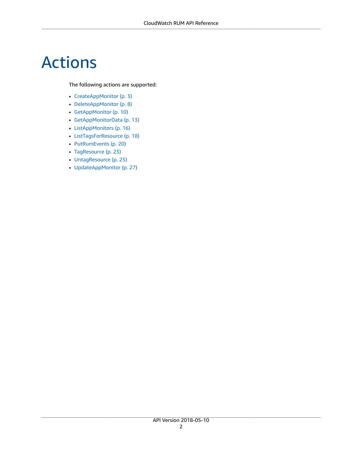# <span id="page-6-0"></span>Actions

#### The following actions are supported:

- [CreateAppMonitor \(p. 3\)](#page-7-0)
- [DeleteAppMonitor \(p. 8\)](#page-12-0)
- [GetAppMonitor \(p. 10\)](#page-14-0)
- [GetAppMonitorData \(p. 13\)](#page-17-0)
- [ListAppMonitors \(p. 16\)](#page-20-0)
- [ListTagsForResource \(p. 18\)](#page-22-0)
- [PutRumEvents \(p. 20\)](#page-24-0)
- [TagResource \(p. 23\)](#page-27-0)
- [UntagResource \(p. 25\)](#page-29-0)
- [UpdateAppMonitor \(p. 27\)](#page-31-0)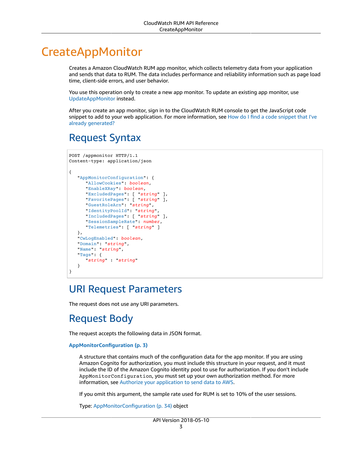# <span id="page-7-0"></span>CreateAppMonitor

Creates a Amazon CloudWatch RUM app monitor, which collects telemetry data from your application and sends that data to RUM. The data includes performance and reliability information such as page load time, client-side errors, and user behavior.

You use this operation only to create a new app monitor. To update an existing app monitor, use [UpdateAppMonitor](https://docs.aws.amazon.com/cloudwatchrum/latest/APIReference/API_UpdateAppMonitor.html) instead.

After you create an app monitor, sign in to the CloudWatch RUM console to get the JavaScript code [snippet](https://docs.aws.amazon.com/AmazonCloudWatch/latest/monitoring/CloudWatch-RUM-find-code-snippet.html) to add to your web application. For more information, see How do I find a code snippet that I've already [generated?](https://docs.aws.amazon.com/AmazonCloudWatch/latest/monitoring/CloudWatch-RUM-find-code-snippet.html)

# <span id="page-7-1"></span>Request Syntax

```
POST /appmonitor HTTP/1.1
Content-type: application/json
{
    "AppMonitorConfiguration": { 
       "AllowCookies": boolean,
       "EnableXRay": boolean,
       "ExcludedPages": [ "string" ],
       "FavoritePages": [ "string" ],
       "GuestRoleArn": "string",
       "IdentityPoolId": "string",
       "IncludedPages": [ "string" ],
       "SessionSampleRate": number,
       "Telemetries": [ "string" ]
    },
    "CwLogEnabled": boolean,
    "Domain": "string",
    "Name": "string",
    "Tags": { 
       "string" : "string" 
    }
}
```
### <span id="page-7-2"></span>URI Request Parameters

The request does not use any URI parameters.

# <span id="page-7-3"></span>Request Body

The request accepts the following data in JSON format.

#### <span id="page-7-4"></span>**[AppMonitorConfiguration \(p. 3\)](#page-7-1)**

A structure that contains much of the configuration data for the app monitor. If you are using Amazon Cognito for authorization, you must include this structure in your request, and it must include the ID of the Amazon Cognito identity pool to use for authorization. If you don't include AppMonitorConfiguration, you must set up your own authorization method. For more information, see Authorize your [application](https://docs.aws.amazon.com/monitoring/CloudWatch-RUM-get-started-authorization.html) to send data to AWS.

If you omit this argument, the sample rate used for RUM is set to 10% of the user sessions.

Type: [AppMonitorConfiguration \(p. 34\)](#page-38-0) object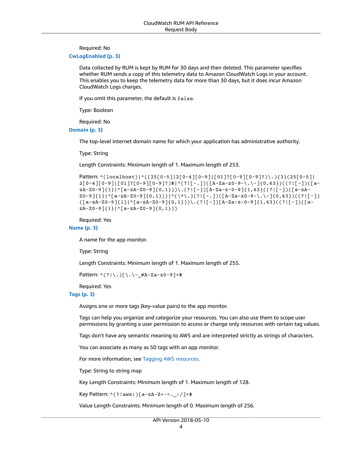#### Required: No

#### <span id="page-8-0"></span>**[CwLogEnabled \(p. 3\)](#page-7-1)**

Data collected by RUM is kept by RUM for 30 days and then deleted. This parameter specifies whether RUM sends a copy of this telemetry data to Amazon CloudWatch Logs in your account. This enables you to keep the telemetry data for more than 30 days, but it does incur Amazon CloudWatch Logs charges.

If you omit this parameter, the default is false.

Type: Boolean

Required: No

<span id="page-8-1"></span>**[Domain \(p. 3\)](#page-7-1)**

The top-level internet domain name for which your application has administrative authority.

Type: String

Length Constraints: Minimum length of 1. Maximum length of 253.

```
Pattern: ^(localhost)|^((25[0-5]|2[0-4][0-9]|[01]?[0-9][0-9]?)\.){3}(25[0-5]|
2[0-4][0-9]|[01]?[0-9][0-9]?)$|^(?![-.])([A-Za-z0-9-\.\-]{0,63})((?![-])([a-
zA-Z0-9]{1}|^[a-zA-Z0-9]{0,1}))\.(?![-])[A-Za-z-0-9]{1,63}((?![-])([a-zA-
Z0-9]{1}|^[a-zA-Z0-9]{0,1}))|^(\*\.)(?![-.])([A-Za-z0-9-\.\-]{0,63})((?![-])
([a-zA-Z0-9]\{1\}|\wedge[a-zA-Z0-9]\{0,1\})\.(?![-])[A-Za-z-0-9]\{1,63\}((?![-])[a-zA-Z0-9]zA-Z0-9]{1}|^[a-zA-Z0-9]{0,1}))
```
Required: Yes

#### <span id="page-8-2"></span>**[Name \(p. 3\)](#page-7-1)**

A name for the app monitor.

Type: String

Length Constraints: Minimum length of 1. Maximum length of 255.

Pattern: ^(?!\.)[\.\-\_#A-Za-z0-9]+\$

Required: Yes

#### <span id="page-8-3"></span>**[Tags \(p. 3\)](#page-7-1)**

Assigns one or more tags (key-value pairs) to the app monitor.

Tags can help you organize and categorize your resources. You can also use them to scope user permissions by granting a user permission to access or change only resources with certain tag values.

Tags don't have any semantic meaning to AWS and are interpreted strictly as strings of characters.

You can associate as many as 50 tags with an app monitor.

For more information, see Tagging AWS [resources](https://docs.aws.amazon.com/general/latest/gr/aws_tagging.html).

Type: String to string map

Key Length Constraints: Minimum length of 1. Maximum length of 128.

Key Pattern: ^(?!aws:)[a-zA-Z+-=.\_:/]+\$

Value Length Constraints: Minimum length of 0. Maximum length of 256.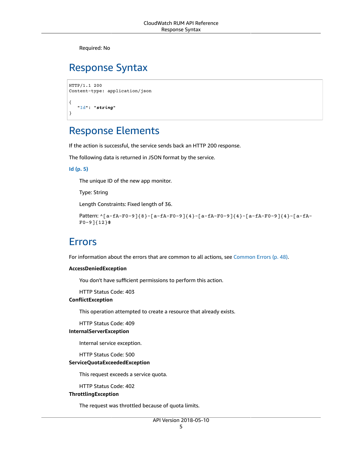Required: No

# <span id="page-9-0"></span>Response Syntax

```
HTTP/1.1 200
Content-type: application/json
{
    "Id": "string"
}
```
## <span id="page-9-1"></span>Response Elements

If the action is successful, the service sends back an HTTP 200 response.

The following data is returned in JSON format by the service.

#### <span id="page-9-3"></span>**[Id \(p. 5\)](#page-9-0)**

The unique ID of the new app monitor.

Type: String

Length Constraints: Fixed length of 36.

```
Pattern: ^[a-fA-F0-9]{8}-[a-fA-F0-9]{4}-[a-fA-F0-9]{4}-[a-fA-F0-9]{4}-[a-fA-
F0-9]{12}$
```
### <span id="page-9-2"></span>Errors

For information about the errors that are common to all actions, see [Common](#page-52-0) Error[s \(p. 48\).](#page-52-0)

#### **AccessDeniedException**

You don't have sufficient permissions to perform this action.

HTTP Status Code: 403

#### **ConflictException**

This operation attempted to create a resource that already exists.

HTTP Status Code: 409

#### **InternalServerException**

Internal service exception.

HTTP Status Code: 500

#### **ServiceQuotaExceededException**

This request exceeds a service quota.

HTTP Status Code: 402

#### **ThrottlingException**

The request was throttled because of quota limits.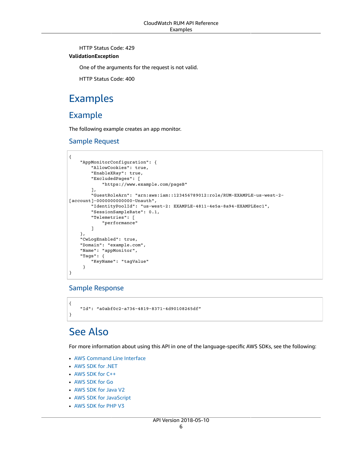HTTP Status Code: 429

#### **ValidationException**

One of the arguments for the request is not valid.

HTTP Status Code: 400

## <span id="page-10-0"></span>Examples

### Example

The following example creates an app monitor.

#### Sample Request

```
{
     "AppMonitorConfiguration": {
         "AllowCookies": true,
         "EnableXRay": true,
         "ExcludedPages": [
             "https://www.example.com/pageB"
         ],
         "GuestRoleArn": "arn:aws:iam::123456789012:role/RUM-EXAMPLE-us-west-2-
[account]-0000000000000-Unauth",
         "IdentityPoolId": "us-west-2: EXAMPLE-4811-4e5a-8a94-EXAMPLEec1",
         "SessionSampleRate": 0.1,
         "Telemetries": [
             "performance"
 ]
    },
     "CwLogEnabled": true,
    "Domain": "example.com",
     "Name": "appMonitor",
    "Tags": {
         "KeyName": "tagValue"
     }
}
```
#### Sample Response

{ "Id": "a0abf0c2-a736-4819-8371-4d90108265df" }

# <span id="page-10-1"></span>See Also

- AWS [Command](https://docs.aws.amazon.com/goto/aws-cli/rum-2018-05-10/CreateAppMonitor) Line Interface
- [AWS](https://docs.aws.amazon.com/goto/DotNetSDKV3/rum-2018-05-10/CreateAppMonitor) SDK for .NET
- [AWS](https://docs.aws.amazon.com/goto/SdkForCpp/rum-2018-05-10/CreateAppMonitor) SDK for C++
- [AWS](https://docs.aws.amazon.com/goto/SdkForGoV1/rum-2018-05-10/CreateAppMonitor) SDK for Go
- [AWS](https://docs.aws.amazon.com/goto/SdkForJavaV2/rum-2018-05-10/CreateAppMonitor) SDK for Java V2
- AWS SDK for [JavaScript](https://docs.aws.amazon.com/goto/AWSJavaScriptSDK/rum-2018-05-10/CreateAppMonitor)
- [AWS](https://docs.aws.amazon.com/goto/SdkForPHPV3/rum-2018-05-10/CreateAppMonitor) SDK for PHP V3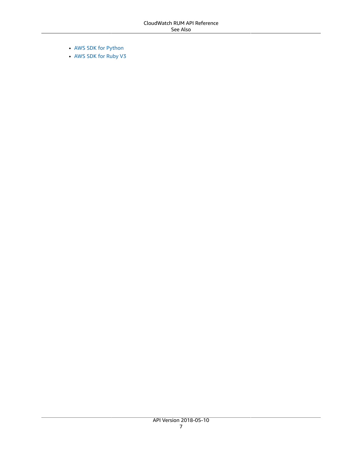- AWS SDK for [Python](https://docs.aws.amazon.com/goto/boto3/rum-2018-05-10/CreateAppMonitor)
- AWS SDK for [Ruby](https://docs.aws.amazon.com/goto/SdkForRubyV3/rum-2018-05-10/CreateAppMonitor) V3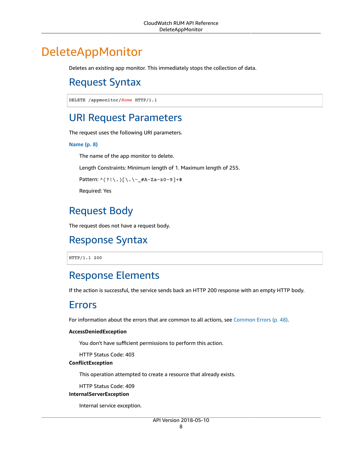# <span id="page-12-1"></span><span id="page-12-0"></span>DeleteAppMonitor

Deletes an existing app monitor. This immediately stops the collection of data.

# Request Syntax

DELETE /appmonitor/*Name* HTTP/1.1

### <span id="page-12-2"></span>URI Request Parameters

The request uses the following URI parameters.

#### **[Name \(p. 8\)](#page-12-1)**

The name of the app monitor to delete.

Length Constraints: Minimum length of 1. Maximum length of 255.

Pattern: ^(?!\.)[\.\-\_#A-Za-z0-9]+\$

Required: Yes

# <span id="page-12-3"></span>Request Body

<span id="page-12-4"></span>The request does not have a request body.

### Response Syntax

HTTP/1.1 200

### <span id="page-12-5"></span>Response Elements

<span id="page-12-6"></span>If the action is successful, the service sends back an HTTP 200 response with an empty HTTP body.

### Errors

For information about the errors that are common to all actions, see [Common](#page-52-0) Error[s \(p. 48\).](#page-52-0)

#### **AccessDeniedException**

You don't have sufficient permissions to perform this action.

HTTP Status Code: 403

#### **ConflictException**

This operation attempted to create a resource that already exists.

HTTP Status Code: 409

#### **InternalServerException**

Internal service exception.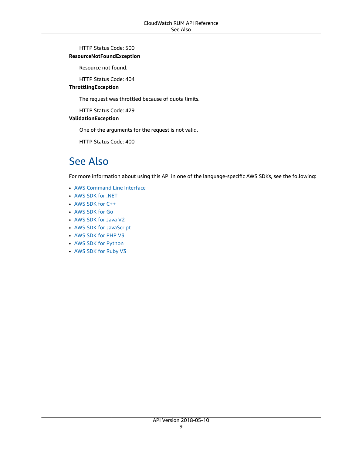#### HTTP Status Code: 500

#### **ResourceNotFoundException**

Resource not found.

HTTP Status Code: 404

#### **ThrottlingException**

The request was throttled because of quota limits.

HTTP Status Code: 429

#### **ValidationException**

One of the arguments for the request is not valid.

HTTP Status Code: 400

### <span id="page-13-0"></span>See Also

- AWS [Command](https://docs.aws.amazon.com/goto/aws-cli/rum-2018-05-10/DeleteAppMonitor) Line Interface
- [AWS](https://docs.aws.amazon.com/goto/DotNetSDKV3/rum-2018-05-10/DeleteAppMonitor) SDK for .NET
- [AWS](https://docs.aws.amazon.com/goto/SdkForCpp/rum-2018-05-10/DeleteAppMonitor) SDK for C++
- [AWS](https://docs.aws.amazon.com/goto/SdkForGoV1/rum-2018-05-10/DeleteAppMonitor) SDK for Go
- [AWS](https://docs.aws.amazon.com/goto/SdkForJavaV2/rum-2018-05-10/DeleteAppMonitor) SDK for Java V2
- AWS SDK for [JavaScript](https://docs.aws.amazon.com/goto/AWSJavaScriptSDK/rum-2018-05-10/DeleteAppMonitor)
- [AWS](https://docs.aws.amazon.com/goto/SdkForPHPV3/rum-2018-05-10/DeleteAppMonitor) SDK for PHP V3
- AWS SDK for [Python](https://docs.aws.amazon.com/goto/boto3/rum-2018-05-10/DeleteAppMonitor)
- AWS SDK for [Ruby](https://docs.aws.amazon.com/goto/SdkForRubyV3/rum-2018-05-10/DeleteAppMonitor) V3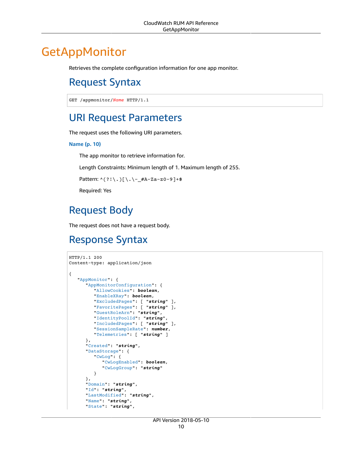# <span id="page-14-1"></span><span id="page-14-0"></span>GetAppMonitor

Retrieves the complete configuration information for one app monitor.

# Request Syntax

GET /appmonitor/*Name* HTTP/1.1

### <span id="page-14-2"></span>URI Request Parameters

The request uses the following URI parameters.

#### **[Name \(p. 10\)](#page-14-1)**

The app monitor to retrieve information for.

Length Constraints: Minimum length of 1. Maximum length of 255.

Pattern: ^(?!\.)[\.\-\_#A-Za-z0-9]+\$

Required: Yes

## <span id="page-14-3"></span>Request Body

The request does not have a request body.

### <span id="page-14-4"></span>Response Syntax

```
HTTP/1.1 200
Content-type: application/json
{
    "AppMonitor": { 
       "AppMonitorConfiguration": { 
          "AllowCookies": boolean,
          "EnableXRay": boolean,
          "ExcludedPages": [ "string" ],
          "FavoritePages": [ "string" ],
          "GuestRoleArn": "string",
           "IdentityPoolId": "string",
          "IncludedPages": [ "string" ],
          "SessionSampleRate": number,
          "Telemetries": [ "string" ]
       },
       "Created": "string",
       "DataStorage": { 
           "CwLog": { 
              "CwLogEnabled": boolean,
              "CwLogGroup": "string"
          }
       },
       "Domain": "string",
       "Id": "string",
       "LastModified": "string",
       "Name": "string",
       "State": "string",
```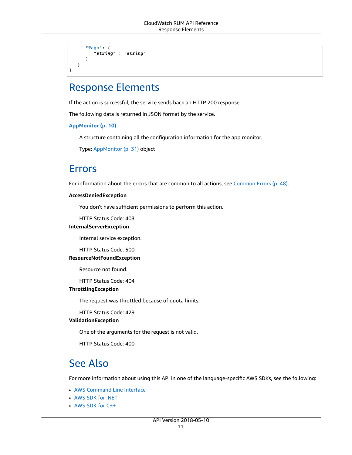```
 "Tags": { 
          "string" : "string" 
 }
    }
}
```
### <span id="page-15-0"></span>Response Elements

If the action is successful, the service sends back an HTTP 200 response.

The following data is returned in JSON format by the service.

<span id="page-15-3"></span>**[AppMonitor \(p. 10\)](#page-14-4)**

A structure containing all the configuration information for the app monitor.

Type: [AppMonitor \(p. 31\)](#page-35-0) object

### <span id="page-15-1"></span>Errors

For information about the errors that are common to all actions, see [Common](#page-52-0) Error[s \(p. 48\).](#page-52-0)

#### **AccessDeniedException**

You don't have sufficient permissions to perform this action.

HTTP Status Code: 403

#### **InternalServerException**

Internal service exception.

HTTP Status Code: 500

#### **ResourceNotFoundException**

Resource not found.

HTTP Status Code: 404

#### **ThrottlingException**

The request was throttled because of quota limits.

HTTP Status Code: 429

#### **ValidationException**

One of the arguments for the request is not valid.

HTTP Status Code: 400

### <span id="page-15-2"></span>See Also

- AWS [Command](https://docs.aws.amazon.com/goto/aws-cli/rum-2018-05-10/GetAppMonitor) Line Interface
- [AWS](https://docs.aws.amazon.com/goto/DotNetSDKV3/rum-2018-05-10/GetAppMonitor) SDK for .NET
- [AWS](https://docs.aws.amazon.com/goto/SdkForCpp/rum-2018-05-10/GetAppMonitor) SDK for C++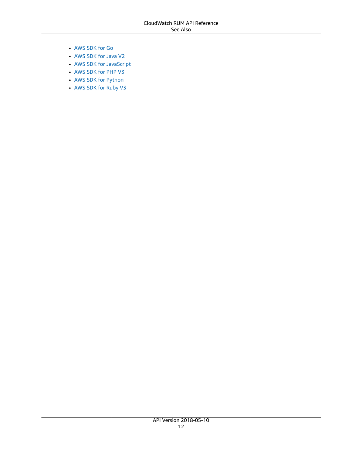- [AWS](https://docs.aws.amazon.com/goto/SdkForGoV1/rum-2018-05-10/GetAppMonitor) SDK for Go
- [AWS](https://docs.aws.amazon.com/goto/SdkForJavaV2/rum-2018-05-10/GetAppMonitor) SDK for Java V2
- AWS SDK for [JavaScript](https://docs.aws.amazon.com/goto/AWSJavaScriptSDK/rum-2018-05-10/GetAppMonitor)
- [AWS](https://docs.aws.amazon.com/goto/SdkForPHPV3/rum-2018-05-10/GetAppMonitor) SDK for PHP V3
- AWS SDK for [Python](https://docs.aws.amazon.com/goto/boto3/rum-2018-05-10/GetAppMonitor)
- AWS SDK for [Ruby](https://docs.aws.amazon.com/goto/SdkForRubyV3/rum-2018-05-10/GetAppMonitor) V3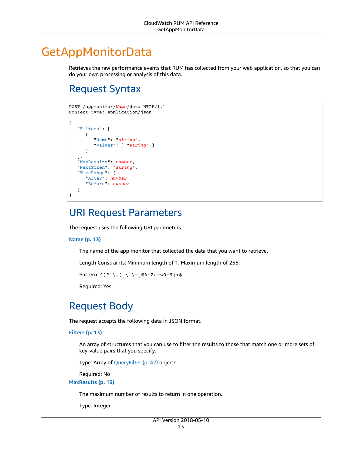# <span id="page-17-0"></span>GetAppMonitorData

Retrieves the raw performance events that RUM has collected from your web application, so that you can do your own processing or analysis of this data.

# <span id="page-17-1"></span>Request Syntax

```
POST /appmonitor/Name/data HTTP/1.1
Content-type: application/json
{
    "Filters": [ 
       { 
           "Name": "string",
           "Values": [ "string" ]
       }
    ],
    "MaxResults": number,
    "NextToken": "string",
    "TimeRange": { 
       "After": number,
       "Before": number
    }
}
```
### <span id="page-17-2"></span>URI Request Parameters

The request uses the following URI parameters.

#### **[Name \(p. 13\)](#page-17-1)**

The name of the app monitor that collected the data that you want to retrieve.

Length Constraints: Minimum length of 1. Maximum length of 255.

```
Pattern: ^(?!\.)[\.\-_#A-Za-z0-9]+$
```
Required: Yes

# <span id="page-17-3"></span>Request Body

The request accepts the following data in JSON format.

#### <span id="page-17-4"></span>**[Filters \(p. 13\)](#page-17-1)**

An array of structures that you can use to filter the results to those that match one or more sets of key-value pairs that you specify.

Type: Array of [QueryFilter \(p. 42\)](#page-46-0) objects

Required: No

<span id="page-17-5"></span>**[MaxResults \(p. 13\)](#page-17-1)**

The maximum number of results to return in one operation.

Type: Integer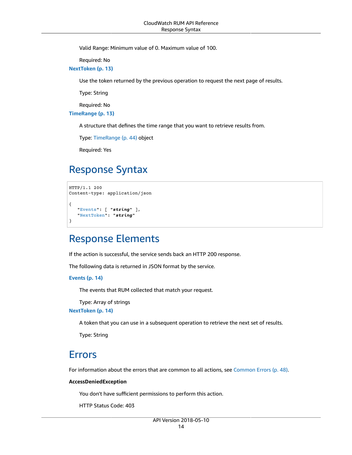Valid Range: Minimum value of 0. Maximum value of 100.

Required: No

<span id="page-18-3"></span>**[NextToken \(p. 13\)](#page-17-1)**

Use the token returned by the previous operation to request the next page of results.

Type: String

Required: No

<span id="page-18-4"></span>**[TimeRange \(p. 13\)](#page-17-1)**

A structure that defines the time range that you want to retrieve results from.

Type: [TimeRange \(p. 44\)](#page-48-0) object

Required: Yes

# <span id="page-18-0"></span>Response Syntax

```
HTTP/1.1 200
Content-type: application/json
{
    "Events": [ "string" ],
    "NextToken": "string"
}
```
### <span id="page-18-1"></span>Response Elements

If the action is successful, the service sends back an HTTP 200 response.

The following data is returned in JSON format by the service.

#### <span id="page-18-5"></span>**[Events \(p. 14\)](#page-18-0)**

The events that RUM collected that match your request.

Type: Array of strings

<span id="page-18-6"></span>**[NextToken \(p. 14\)](#page-18-0)**

A token that you can use in a subsequent operation to retrieve the next set of results.

Type: String

### <span id="page-18-2"></span>Errors

For information about the errors that are common to all actions, see [Common](#page-52-0) Error[s \(p. 48\).](#page-52-0)

#### **AccessDeniedException**

You don't have sufficient permissions to perform this action.

HTTP Status Code: 403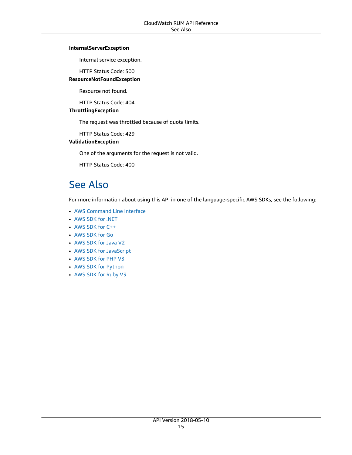#### **InternalServerException**

Internal service exception.

HTTP Status Code: 500

#### **ResourceNotFoundException**

Resource not found.

HTTP Status Code: 404

#### **ThrottlingException**

The request was throttled because of quota limits.

HTTP Status Code: 429

#### **ValidationException**

One of the arguments for the request is not valid.

HTTP Status Code: 400

### <span id="page-19-0"></span>See Also

- AWS [Command](https://docs.aws.amazon.com/goto/aws-cli/rum-2018-05-10/GetAppMonitorData) Line Interface
- [AWS](https://docs.aws.amazon.com/goto/DotNetSDKV3/rum-2018-05-10/GetAppMonitorData) SDK for .NET
- [AWS](https://docs.aws.amazon.com/goto/SdkForCpp/rum-2018-05-10/GetAppMonitorData) SDK for C++
- [AWS](https://docs.aws.amazon.com/goto/SdkForGoV1/rum-2018-05-10/GetAppMonitorData) SDK for Go
- [AWS](https://docs.aws.amazon.com/goto/SdkForJavaV2/rum-2018-05-10/GetAppMonitorData) SDK for Java V2
- AWS SDK for [JavaScript](https://docs.aws.amazon.com/goto/AWSJavaScriptSDK/rum-2018-05-10/GetAppMonitorData)
- [AWS](https://docs.aws.amazon.com/goto/SdkForPHPV3/rum-2018-05-10/GetAppMonitorData) SDK for PHP V3
- AWS SDK for [Python](https://docs.aws.amazon.com/goto/boto3/rum-2018-05-10/GetAppMonitorData)
- AWS SDK for [Ruby](https://docs.aws.amazon.com/goto/SdkForRubyV3/rum-2018-05-10/GetAppMonitorData) V3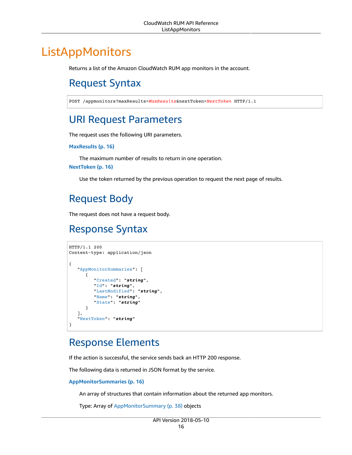# <span id="page-20-1"></span><span id="page-20-0"></span>ListAppMonitors

Returns a list of the Amazon CloudWatch RUM app monitors in the account.

# Request Syntax

POST /appmonitors?maxResults=*MaxResults*&nextToken=*NextToken* HTTP/1.1

# <span id="page-20-2"></span>URI Request Parameters

The request uses the following URI parameters.

#### **[MaxResults \(p. 16\)](#page-20-1)**

The maximum number of results to return in one operation.

#### **[NextToken \(p. 16\)](#page-20-1)**

Use the token returned by the previous operation to request the next page of results.

# <span id="page-20-3"></span>Request Body

<span id="page-20-4"></span>The request does not have a request body.

# Response Syntax

```
HTTP/1.1 200
Content-type: application/json
{
    "AppMonitorSummaries": [ 
       { 
           "Created": "string",
           "Id": "string",
           "LastModified": "string",
           "Name": "string",
           "State": "string"
       }
    ],
    "NextToken": "string"
}
```
# <span id="page-20-5"></span>Response Elements

If the action is successful, the service sends back an HTTP 200 response.

The following data is returned in JSON format by the service.

#### <span id="page-20-6"></span>**[AppMonitorSummaries \(p. 16\)](#page-20-4)**

An array of structures that contain information about the returned app monitors.

Type: Array of [AppMonitorSummary \(p. 38\)](#page-42-0) objects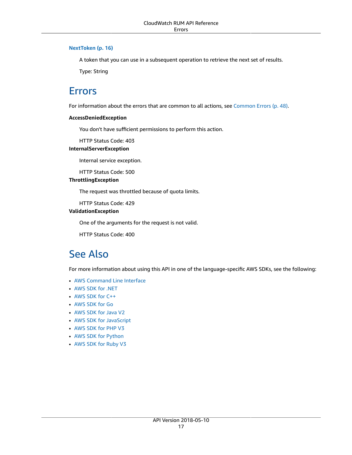#### <span id="page-21-2"></span>**[NextToken \(p. 16\)](#page-20-4)**

A token that you can use in a subsequent operation to retrieve the next set of results.

Type: String

### <span id="page-21-0"></span>Errors

For information about the errors that are common to all actions, see [Common](#page-52-0) Error[s \(p. 48\).](#page-52-0)

#### **AccessDeniedException**

You don't have sufficient permissions to perform this action.

HTTP Status Code: 403

#### **InternalServerException**

Internal service exception.

HTTP Status Code: 500

#### **ThrottlingException**

The request was throttled because of quota limits.

HTTP Status Code: 429

#### **ValidationException**

One of the arguments for the request is not valid.

HTTP Status Code: 400

### <span id="page-21-1"></span>See Also

- AWS [Command](https://docs.aws.amazon.com/goto/aws-cli/rum-2018-05-10/ListAppMonitors) Line Interface
- [AWS](https://docs.aws.amazon.com/goto/DotNetSDKV3/rum-2018-05-10/ListAppMonitors) SDK for .NET
- [AWS](https://docs.aws.amazon.com/goto/SdkForCpp/rum-2018-05-10/ListAppMonitors) SDK for C++
- [AWS](https://docs.aws.amazon.com/goto/SdkForGoV1/rum-2018-05-10/ListAppMonitors) SDK for Go
- [AWS](https://docs.aws.amazon.com/goto/SdkForJavaV2/rum-2018-05-10/ListAppMonitors) SDK for Java V2
- AWS SDK for [JavaScript](https://docs.aws.amazon.com/goto/AWSJavaScriptSDK/rum-2018-05-10/ListAppMonitors)
- [AWS](https://docs.aws.amazon.com/goto/SdkForPHPV3/rum-2018-05-10/ListAppMonitors) SDK for PHP V3
- AWS SDK for [Python](https://docs.aws.amazon.com/goto/boto3/rum-2018-05-10/ListAppMonitors)
- AWS SDK for [Ruby](https://docs.aws.amazon.com/goto/SdkForRubyV3/rum-2018-05-10/ListAppMonitors) V3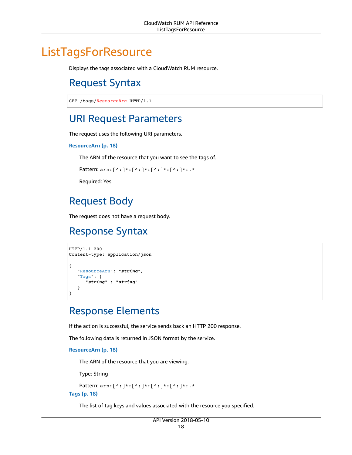# <span id="page-22-1"></span><span id="page-22-0"></span>**ListTagsForResource**

Displays the tags associated with a CloudWatch RUM resource.

# Request Syntax

```
GET /tags/ResourceArn HTTP/1.1
```
# <span id="page-22-2"></span>URI Request Parameters

The request uses the following URI parameters.

#### **[ResourceArn \(p. 18\)](#page-22-1)**

The ARN of the resource that you want to see the tags of.

```
Pattern: arn:[^:]*:[^:]*:[^:]*:[^:]*:.*
```
Required: Yes

# <span id="page-22-3"></span>Request Body

The request does not have a request body.

## <span id="page-22-4"></span>Response Syntax

```
HTTP/1.1 200
Content-type: application/json
{
    "ResourceArn": "string",
    "Tags": { 
       "string" : "string" 
    }
}
```
# <span id="page-22-5"></span>Response Elements

If the action is successful, the service sends back an HTTP 200 response.

The following data is returned in JSON format by the service.

<span id="page-22-6"></span>**[ResourceArn \(p. 18\)](#page-22-4)**

The ARN of the resource that you are viewing.

Type: String

```
Pattern: arn:[^:]*:[^:]*:[^:]*:[^:]*:.*
```
<span id="page-22-7"></span>**[Tags \(p. 18\)](#page-22-4)**

The list of tag keys and values associated with the resource you specified.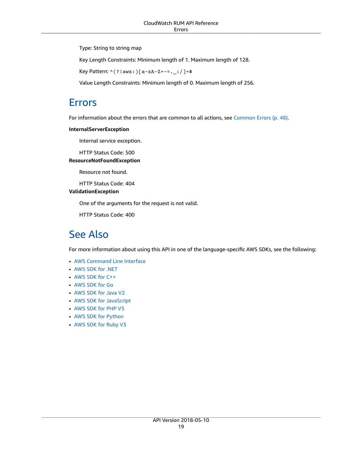Type: String to string map

Key Length Constraints: Minimum length of 1. Maximum length of 128.

Key Pattern: ^(?!aws:)[a-zA-Z+-=.\_:/]+\$

Value Length Constraints: Minimum length of 0. Maximum length of 256.

### <span id="page-23-0"></span>Errors

For information about the errors that are common to all actions, see [Common](#page-52-0) Error[s \(p. 48\).](#page-52-0)

#### **InternalServerException**

Internal service exception.

HTTP Status Code: 500

#### **ResourceNotFoundException**

Resource not found.

HTTP Status Code: 404

#### **ValidationException**

One of the arguments for the request is not valid.

HTTP Status Code: 400

### <span id="page-23-1"></span>See Also

- AWS [Command](https://docs.aws.amazon.com/goto/aws-cli/rum-2018-05-10/ListTagsForResource) Line Interface
- [AWS](https://docs.aws.amazon.com/goto/DotNetSDKV3/rum-2018-05-10/ListTagsForResource) SDK for .NET
- [AWS](https://docs.aws.amazon.com/goto/SdkForCpp/rum-2018-05-10/ListTagsForResource) SDK for C++
- [AWS](https://docs.aws.amazon.com/goto/SdkForGoV1/rum-2018-05-10/ListTagsForResource) SDK for Go
- [AWS](https://docs.aws.amazon.com/goto/SdkForJavaV2/rum-2018-05-10/ListTagsForResource) SDK for Java V2
- AWS SDK for [JavaScript](https://docs.aws.amazon.com/goto/AWSJavaScriptSDK/rum-2018-05-10/ListTagsForResource)
- [AWS](https://docs.aws.amazon.com/goto/SdkForPHPV3/rum-2018-05-10/ListTagsForResource) SDK for PHP V3
- AWS SDK for [Python](https://docs.aws.amazon.com/goto/boto3/rum-2018-05-10/ListTagsForResource)
- AWS SDK for [Ruby](https://docs.aws.amazon.com/goto/SdkForRubyV3/rum-2018-05-10/ListTagsForResource) V3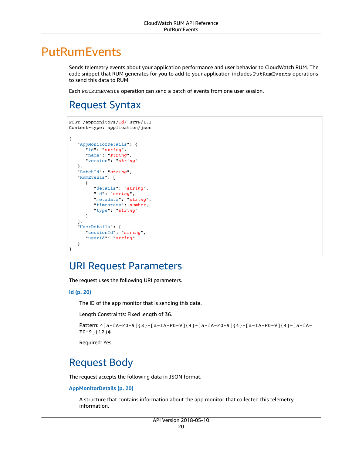# <span id="page-24-0"></span>**PutRumEvents**

Sends telemetry events about your application performance and user behavior to CloudWatch RUM. The code snippet that RUM generates for you to add to your application includes PutRumEvents operations to send this data to RUM.

Each PutRumEvents operation can send a batch of events from one user session.

# <span id="page-24-1"></span>Request Syntax

```
POST /appmonitors/Id/ HTTP/1.1
Content-type: application/json
{
    "AppMonitorDetails": { 
       "id": "string",
       "name": "string",
       "version": "string"
    },
    "BatchId": "string",
    "RumEvents": [ 
       { 
           "details": "string",
          "id": "string",
           "metadata": "string",
          "timestamp": number,
          "type": "string"
       }
    ],
    "UserDetails": { 
       "sessionId": "string",
       "userId": "string"
    }
}
```
### <span id="page-24-2"></span>URI Request Parameters

The request uses the following URI parameters.

#### **[Id \(p. 20\)](#page-24-1)**

The ID of the app monitor that is sending this data.

Length Constraints: Fixed length of 36.

```
Pattern: ^[a-fA-F0-9]{8}-[a-fA-F0-9]{4}-[a-fA-F0-9]{4}-[a-fA-F0-9]{4}-[a-fA-
F0-9]{12}$
```
Required: Yes

# <span id="page-24-3"></span>Request Body

The request accepts the following data in JSON format.

#### <span id="page-24-4"></span>**[AppMonitorDetails \(p. 20\)](#page-24-1)**

A structure that contains information about the app monitor that collected this telemetry information.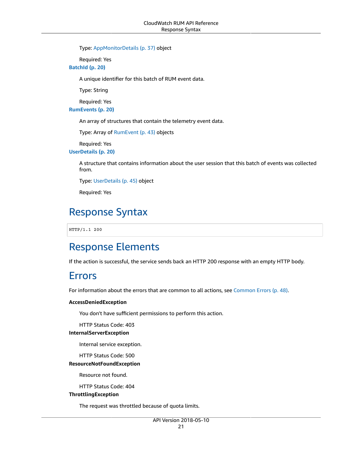Type: [AppMonitorDetails \(p. 37\)](#page-41-0) object

Required: Yes

<span id="page-25-3"></span>**[BatchId \(p. 20\)](#page-24-1)**

A unique identifier for this batch of RUM event data.

Type: String

Required: Yes

<span id="page-25-4"></span>**[RumEvents \(p. 20\)](#page-24-1)**

An array of structures that contain the telemetry event data.

Type: Array of [RumEvent \(p. 43\)](#page-47-0) objects

Required: Yes

<span id="page-25-5"></span>**[UserDetails \(p. 20\)](#page-24-1)**

A structure that contains information about the user session that this batch of events was collected from.

Type: [UserDetails \(p. 45\)](#page-49-0) object

Required: Yes

### <span id="page-25-0"></span>Response Syntax

HTTP/1.1 200

### <span id="page-25-1"></span>Response Elements

<span id="page-25-2"></span>If the action is successful, the service sends back an HTTP 200 response with an empty HTTP body.

### Errors

For information about the errors that are common to all actions, see [Common](#page-52-0) Error[s \(p. 48\).](#page-52-0)

#### **AccessDeniedException**

You don't have sufficient permissions to perform this action.

HTTP Status Code: 403

#### **InternalServerException**

Internal service exception.

HTTP Status Code: 500

#### **ResourceNotFoundException**

Resource not found.

HTTP Status Code: 404

#### **ThrottlingException**

The request was throttled because of quota limits.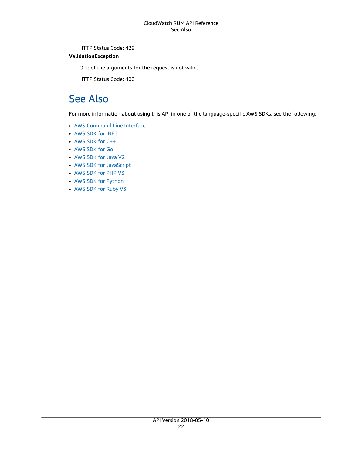HTTP Status Code: 429

#### **ValidationException**

One of the arguments for the request is not valid.

HTTP Status Code: 400

### <span id="page-26-0"></span>See Also

- AWS [Command](https://docs.aws.amazon.com/goto/aws-cli/rum-2018-05-10/PutRumEvents) Line Interface
- [AWS](https://docs.aws.amazon.com/goto/DotNetSDKV3/rum-2018-05-10/PutRumEvents) SDK for .NET
- [AWS](https://docs.aws.amazon.com/goto/SdkForCpp/rum-2018-05-10/PutRumEvents) SDK for C++
- [AWS](https://docs.aws.amazon.com/goto/SdkForGoV1/rum-2018-05-10/PutRumEvents) SDK for Go
- [AWS](https://docs.aws.amazon.com/goto/SdkForJavaV2/rum-2018-05-10/PutRumEvents) SDK for Java V2
- AWS SDK for [JavaScript](https://docs.aws.amazon.com/goto/AWSJavaScriptSDK/rum-2018-05-10/PutRumEvents)
- [AWS](https://docs.aws.amazon.com/goto/SdkForPHPV3/rum-2018-05-10/PutRumEvents) SDK for PHP V3
- AWS SDK for [Python](https://docs.aws.amazon.com/goto/boto3/rum-2018-05-10/PutRumEvents)
- AWS SDK for [Ruby](https://docs.aws.amazon.com/goto/SdkForRubyV3/rum-2018-05-10/PutRumEvents) V3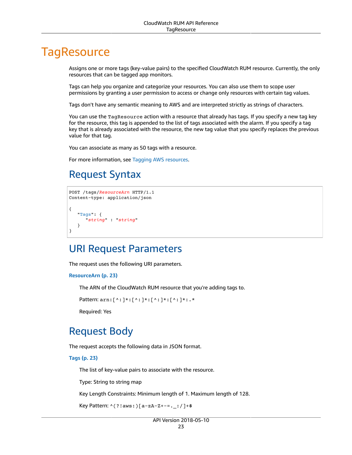# <span id="page-27-0"></span>**TagResource**

Assigns one or more tags (key-value pairs) to the specified CloudWatch RUM resource. Currently, the only resources that can be tagged app monitors.

Tags can help you organize and categorize your resources. You can also use them to scope user permissions by granting a user permission to access or change only resources with certain tag values.

Tags don't have any semantic meaning to AWS and are interpreted strictly as strings of characters.

You can use the TagResource action with a resource that already has tags. If you specify a new tag key for the resource, this tag is appended to the list of tags associated with the alarm. If you specify a tag key that is already associated with the resource, the new tag value that you specify replaces the previous value for that tag.

You can associate as many as 50 tags with a resource.

<span id="page-27-1"></span>For more information, see Tagging AWS [resources](https://docs.aws.amazon.com/general/latest/gr/aws_tagging.html).

# Request Syntax

```
POST /tags/ResourceArn HTTP/1.1
Content-type: application/json
{
    "Tags": { 
       "string" : "string" 
    }
}
```
### <span id="page-27-2"></span>URI Request Parameters

The request uses the following URI parameters.

#### **[ResourceArn \(p. 23\)](#page-27-1)**

The ARN of the CloudWatch RUM resource that you're adding tags to.

```
Pattern: arn:[^:]*:[^:]*:[^:]*:[^:]*:.*
```
Required: Yes

### <span id="page-27-3"></span>Request Body

The request accepts the following data in JSON format.

<span id="page-27-4"></span>**[Tags \(p. 23\)](#page-27-1)**

The list of key-value pairs to associate with the resource.

Type: String to string map

Key Length Constraints: Minimum length of 1. Maximum length of 128.

```
Key Pattern: ^(?!aws:)[a-zA-Z+-=._:/]+$
```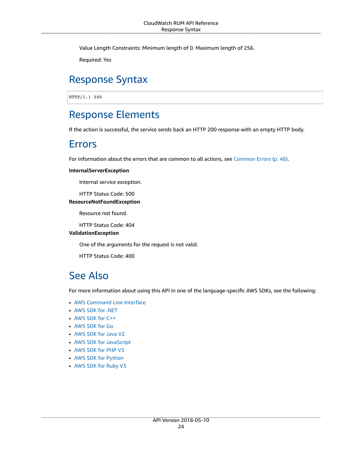Value Length Constraints: Minimum length of 0. Maximum length of 256.

Required: Yes

# <span id="page-28-0"></span>Response Syntax

HTTP/1.1 200

### <span id="page-28-1"></span>Response Elements

<span id="page-28-2"></span>If the action is successful, the service sends back an HTTP 200 response with an empty HTTP body.

### Errors

For information about the errors that are common to all actions, see [Common](#page-52-0) Error[s \(p. 48\).](#page-52-0)

#### **InternalServerException**

Internal service exception.

HTTP Status Code: 500

#### **ResourceNotFoundException**

Resource not found.

HTTP Status Code: 404

#### **ValidationException**

One of the arguments for the request is not valid.

HTTP Status Code: 400

### <span id="page-28-3"></span>See Also

- AWS [Command](https://docs.aws.amazon.com/goto/aws-cli/rum-2018-05-10/TagResource) Line Interface
- [AWS](https://docs.aws.amazon.com/goto/DotNetSDKV3/rum-2018-05-10/TagResource) SDK for .NET
- [AWS](https://docs.aws.amazon.com/goto/SdkForCpp/rum-2018-05-10/TagResource) SDK for C++
- [AWS](https://docs.aws.amazon.com/goto/SdkForGoV1/rum-2018-05-10/TagResource) SDK for Go
- [AWS](https://docs.aws.amazon.com/goto/SdkForJavaV2/rum-2018-05-10/TagResource) SDK for Java V2
- AWS SDK for [JavaScript](https://docs.aws.amazon.com/goto/AWSJavaScriptSDK/rum-2018-05-10/TagResource)
- [AWS](https://docs.aws.amazon.com/goto/SdkForPHPV3/rum-2018-05-10/TagResource) SDK for PHP V3
- AWS SDK for [Python](https://docs.aws.amazon.com/goto/boto3/rum-2018-05-10/TagResource)
- AWS SDK for [Ruby](https://docs.aws.amazon.com/goto/SdkForRubyV3/rum-2018-05-10/TagResource) V3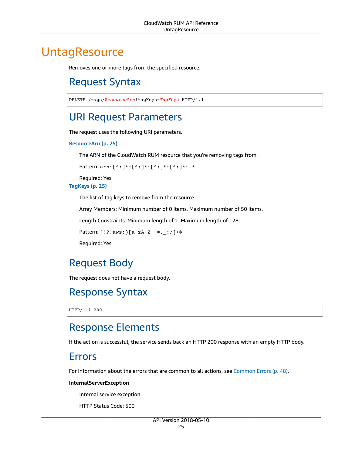# <span id="page-29-1"></span><span id="page-29-0"></span>**UntagResource**

Removes one or more tags from the specified resource.

# Request Syntax

```
DELETE /tags/ResourceArn?tagKeys=TagKeys HTTP/1.1
```
# <span id="page-29-2"></span>URI Request Parameters

The request uses the following URI parameters.

#### **[ResourceArn \(p. 25\)](#page-29-1)**

The ARN of the CloudWatch RUM resource that you're removing tags from.

```
Pattern: arn:[^:]*:[^:]*:[^:]*:[^:]*:.*
```
Required: Yes

#### **[TagKeys \(p. 25\)](#page-29-1)**

The list of tag keys to remove from the resource.

Array Members: Minimum number of 0 items. Maximum number of 50 items.

Length Constraints: Minimum length of 1. Maximum length of 128.

Pattern: ^(?!aws:)[a-zA-Z+-=.\_:/]+\$

Required: Yes

# <span id="page-29-3"></span>Request Body

The request does not have a request body.

# <span id="page-29-4"></span>Response Syntax

HTTP/1.1 200

### <span id="page-29-5"></span>Response Elements

If the action is successful, the service sends back an HTTP 200 response with an empty HTTP body.

### <span id="page-29-6"></span>Errors

For information about the errors that are common to all actions, see [Common](#page-52-0) Error[s \(p. 48\).](#page-52-0)

#### **InternalServerException**

Internal service exception.

HTTP Status Code: 500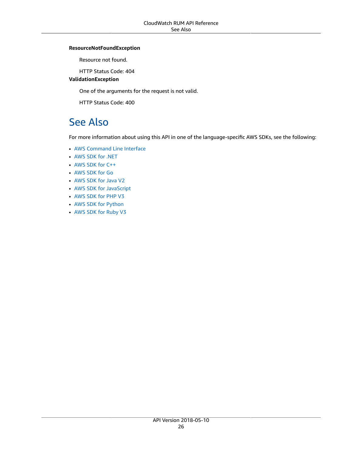#### **ResourceNotFoundException**

Resource not found.

HTTP Status Code: 404

**ValidationException**

One of the arguments for the request is not valid.

HTTP Status Code: 400

### <span id="page-30-0"></span>See Also

- AWS [Command](https://docs.aws.amazon.com/goto/aws-cli/rum-2018-05-10/UntagResource) Line Interface
- [AWS](https://docs.aws.amazon.com/goto/DotNetSDKV3/rum-2018-05-10/UntagResource) SDK for .NET
- [AWS](https://docs.aws.amazon.com/goto/SdkForCpp/rum-2018-05-10/UntagResource) SDK for C++
- [AWS](https://docs.aws.amazon.com/goto/SdkForGoV1/rum-2018-05-10/UntagResource) SDK for Go
- [AWS](https://docs.aws.amazon.com/goto/SdkForJavaV2/rum-2018-05-10/UntagResource) SDK for Java V2
- AWS SDK for [JavaScript](https://docs.aws.amazon.com/goto/AWSJavaScriptSDK/rum-2018-05-10/UntagResource)
- [AWS](https://docs.aws.amazon.com/goto/SdkForPHPV3/rum-2018-05-10/UntagResource) SDK for PHP V3
- AWS SDK for [Python](https://docs.aws.amazon.com/goto/boto3/rum-2018-05-10/UntagResource)
- AWS SDK for [Ruby](https://docs.aws.amazon.com/goto/SdkForRubyV3/rum-2018-05-10/UntagResource) V3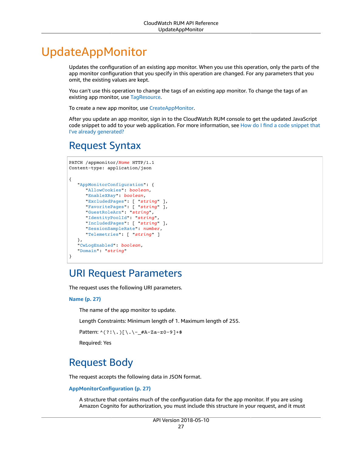# <span id="page-31-0"></span>UpdateAppMonitor

Updates the configuration of an existing app monitor. When you use this operation, only the parts of the app monitor configuration that you specify in this operation are changed. For any parameters that you omit, the existing values are kept.

You can't use this operation to change the tags of an existing app monitor. To change the tags of an existing app monitor, use [TagResource](https://docs.aws.amazon.com/cloudwatchrum/latest/APIReference/API_TagResource.html).

To create a new app monitor, use [CreateAppMonitor](https://docs.aws.amazon.com/cloudwatchrum/latest/APIReference/API_CreateAppMonitor.html).

After you update an app monitor, sign in to the CloudWatch RUM console to get the updated JavaScript code snippet to add to your web application. For more information, see How do I find a code [snippet](https://docs.aws.amazon.com/AmazonCloudWatch/latest/monitoring/CloudWatch-RUM-find-code-snippet.html) that I've already [generated?](https://docs.aws.amazon.com/AmazonCloudWatch/latest/monitoring/CloudWatch-RUM-find-code-snippet.html)

## <span id="page-31-1"></span>Request Syntax

```
PATCH /appmonitor/Name HTTP/1.1
Content-type: application/json
{
    "AppMonitorConfiguration": { 
       "AllowCookies": boolean,
       "EnableXRay": boolean,
       "ExcludedPages": [ "string" ],
       "FavoritePages": [ "string" ],
       "GuestRoleArn": "string",
       "IdentityPoolId": "string",
       "IncludedPages": [ "string" ],
       "SessionSampleRate": number,
       "Telemetries": [ "string" ]
    },
    "CwLogEnabled": boolean,
    "Domain": "string"
}
```
### <span id="page-31-2"></span>URI Request Parameters

The request uses the following URI parameters.

#### **[Name \(p. 27\)](#page-31-1)**

The name of the app monitor to update.

Length Constraints: Minimum length of 1. Maximum length of 255.

Pattern: ^(?!\.)[\.\-\_#A-Za-z0-9]+\$

Required: Yes

# <span id="page-31-3"></span>Request Body

The request accepts the following data in JSON format.

#### <span id="page-31-4"></span>**[AppMonitorConfiguration \(p. 27\)](#page-31-1)**

A structure that contains much of the configuration data for the app monitor. If you are using Amazon Cognito for authorization, you must include this structure in your request, and it must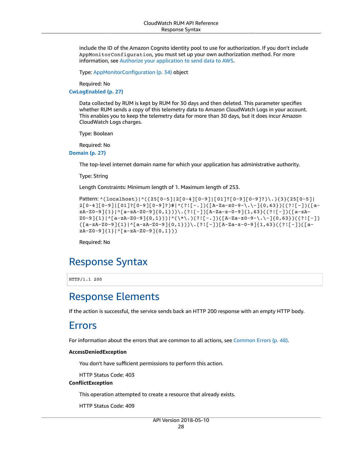include the ID of the Amazon Cognito identity pool to use for authorization. If you don't include AppMonitorConfiguration, you must set up your own authorization method. For more information, see Authorize your [application](https://docs.aws.amazon.com/monitoring/CloudWatch-RUM-get-started-authorization.html) to send data to AWS.

Type: [AppMonitorConfiguration \(p. 34\)](#page-38-0) object

Required: No

<span id="page-32-3"></span>**[CwLogEnabled \(p. 27\)](#page-31-1)**

Data collected by RUM is kept by RUM for 30 days and then deleted. This parameter specifies whether RUM sends a copy of this telemetry data to Amazon CloudWatch Logs in your account. This enables you to keep the telemetry data for more than 30 days, but it does incur Amazon CloudWatch Logs charges.

Type: Boolean

Required: No

<span id="page-32-4"></span>**[Domain \(p. 27\)](#page-31-1)**

The top-level internet domain name for which your application has administrative authority.

Type: String

Length Constraints: Minimum length of 1. Maximum length of 253.

```
Pattern: ^(localhost)|^((25[0-5]|2[0-4][0-9]|[01]?[0-9][0-9]?)\.){3}(25[0-5]|
2[0-4][0-9]|[01]?[0-9][0-9]?)$|^(?![-.])([A-Za-z0-9-\.\-]{0,63})((?![-])([a-
zA-Z0-9]{1}|^[a-zA-Z0-9]{0,1}))\.(?![-])[A-Za-z-0-9]{1,63}((?![-])([a-zA-
Z0-9]{1}|^[a-zA-Z0-9]{0,1}))|^(\*\.)(?![-.])([A-Za-z0-9-\.\-]{0,63})((?![-])
([a-zA-Z0-9]{1}|^[a-zA-Z0-9]{0,1}))\.(?![-])[A-Za-z-0-9]{1,63}((?![-])([a-
zA-Z0-9]{1}|^[a-zA-Z0-9]{0,1}))
```
Required: No

### <span id="page-32-0"></span>Response Syntax

HTTP/1.1 200

### <span id="page-32-1"></span>Response Elements

<span id="page-32-2"></span>If the action is successful, the service sends back an HTTP 200 response with an empty HTTP body.

### Errors

For information about the errors that are common to all actions, see [Common](#page-52-0) Error[s \(p. 48\).](#page-52-0)

#### **AccessDeniedException**

You don't have sufficient permissions to perform this action.

HTTP Status Code: 403

#### **ConflictException**

This operation attempted to create a resource that already exists.

HTTP Status Code: 409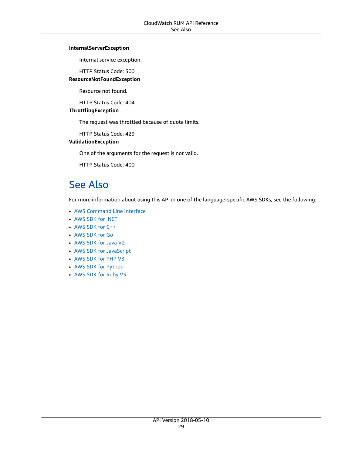#### **InternalServerException**

Internal service exception.

HTTP Status Code: 500

#### **ResourceNotFoundException**

Resource not found.

HTTP Status Code: 404

#### **ThrottlingException**

The request was throttled because of quota limits.

HTTP Status Code: 429

#### **ValidationException**

One of the arguments for the request is not valid.

HTTP Status Code: 400

### <span id="page-33-0"></span>See Also

- AWS [Command](https://docs.aws.amazon.com/goto/aws-cli/rum-2018-05-10/UpdateAppMonitor) Line Interface
- [AWS](https://docs.aws.amazon.com/goto/DotNetSDKV3/rum-2018-05-10/UpdateAppMonitor) SDK for .NET
- [AWS](https://docs.aws.amazon.com/goto/SdkForCpp/rum-2018-05-10/UpdateAppMonitor) SDK for C++
- [AWS](https://docs.aws.amazon.com/goto/SdkForGoV1/rum-2018-05-10/UpdateAppMonitor) SDK for Go
- [AWS](https://docs.aws.amazon.com/goto/SdkForJavaV2/rum-2018-05-10/UpdateAppMonitor) SDK for Java V2
- AWS SDK for [JavaScript](https://docs.aws.amazon.com/goto/AWSJavaScriptSDK/rum-2018-05-10/UpdateAppMonitor)
- [AWS](https://docs.aws.amazon.com/goto/SdkForPHPV3/rum-2018-05-10/UpdateAppMonitor) SDK for PHP V3
- AWS SDK for [Python](https://docs.aws.amazon.com/goto/boto3/rum-2018-05-10/UpdateAppMonitor)
- AWS SDK for [Ruby](https://docs.aws.amazon.com/goto/SdkForRubyV3/rum-2018-05-10/UpdateAppMonitor) V3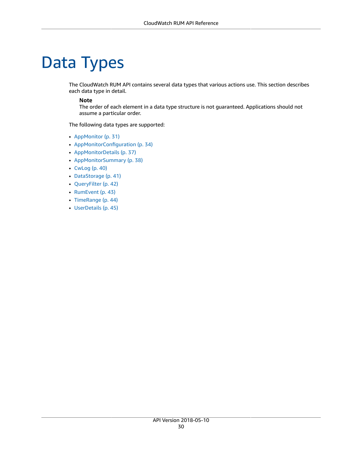# <span id="page-34-0"></span>Data Types

The CloudWatch RUM API contains several data types that various actions use. This section describes each data type in detail.

#### **Note**

The order of each element in a data type structure is not guaranteed. Applications should not assume a particular order.

The following data types are supported:

- [AppMonitor \(p. 31\)](#page-35-0)
- [AppMonitorConfiguration \(p. 34\)](#page-38-0)
- [AppMonitorDetails \(p. 37\)](#page-41-0)
- [AppMonitorSummary \(p. 38\)](#page-42-0)
- [CwLog \(p. 40\)](#page-44-0)
- [DataStorage \(p. 41\)](#page-45-0)
- [QueryFilter \(p. 42\)](#page-46-0)
- [RumEvent \(p. 43\)](#page-47-0)
- [TimeRange \(p. 44\)](#page-48-0)
- [UserDetails \(p. 45\)](#page-49-0)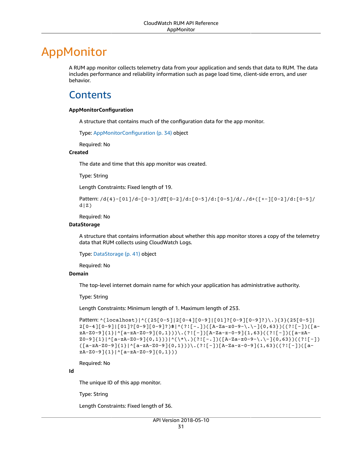# <span id="page-35-0"></span>AppMonitor

A RUM app monitor collects telemetry data from your application and sends that data to RUM. The data includes performance and reliability information such as page load time, client-side errors, and user behavior.

# <span id="page-35-1"></span>**Contents**

#### <span id="page-35-2"></span>**AppMonitorConfiguration**

A structure that contains much of the configuration data for the app monitor.

Type: [AppMonitorConfiguration \(p. 34\)](#page-38-0) object

Required: No

#### <span id="page-35-3"></span>**Created**

The date and time that this app monitor was created.

Type: String

Length Constraints: Fixed length of 19.

```
Pattern: /d{4}-[01]/d-[0-3]/dT[0-2]/d:[0-5]/d:[0-5]/d/./d+([+-][0-2]/d:[0-5]/
d|Z)
```
Required: No

#### <span id="page-35-4"></span>**DataStorage**

A structure that contains information about whether this app monitor stores a copy of the telemetry data that RUM collects using CloudWatch Logs.

Type: [DataStorage \(p. 41\)](#page-45-0) object

Required: No

#### <span id="page-35-5"></span>**Domain**

The top-level internet domain name for which your application has administrative authority.

Type: String

Length Constraints: Minimum length of 1. Maximum length of 253.

```
Pattern: ^(localhost)|^((25[0-5]|2[0-4][0-9]|[01]?[0-9][0-9]?)\.){3}(25[0-5]|
2[0-4][0-9]|[01]?[0-9][0-9]?)$|^(?![-.])([A-Za-z0-9-\.\-]{0,63})((?![-])([a-
zA-Z0-9]{1}|^[a-zA-Z0-9]{0,1}))\.(?![-])[A-Za-z-0-9]{1,63}((?![-])([a-zA-
Z0-9]{1}|^[a-zA-Z0-9]{0,1}))|^(\*\.)(?![-.])([A-Za-z0-9-\.\-]{0,63})((?![-])
([a-zA-Z0-9]{1}|^[a-zA-Z0-9]{0,1}))\.(?![-])[A-Za-z-0-9]{1,63}((?![-])([a-
zA-Z0-9]{1}|^[a-zA-Z0-9]{0,1}))
```
Required: No

<span id="page-35-6"></span>**Id**

The unique ID of this app monitor.

Type: String

Length Constraints: Fixed length of 36.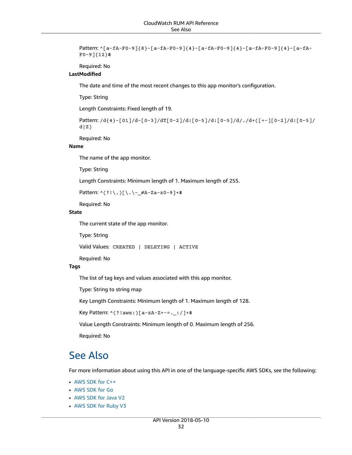```
Pattern: ^[a-fA-F0-9]{8}-[a-fA-F0-9]{4}-[a-fA-F0-9]{4}-[a-fA-F0-9]{4}-[a-fA-
F0-9]{12}$
```
Required: No

#### <span id="page-36-1"></span>**LastModified**

The date and time of the most recent changes to this app monitor's configuration.

Type: String

Length Constraints: Fixed length of 19.

```
Pattern: /d{4}-[01]/d-[0-3]/dT[0-2]/d:[0-5]/d:[0-5]/d/./d+([+-][0-2]/d:[0-5]/
d|Z)
```
Required: No

#### <span id="page-36-2"></span>**Name**

The name of the app monitor.

Type: String

Length Constraints: Minimum length of 1. Maximum length of 255.

Pattern: ^(?!\.)[\.\-\_#A-Za-z0-9]+\$

Required: No

#### <span id="page-36-3"></span>**State**

The current state of the app monitor.

Type: String

Valid Values: CREATED | DELETING | ACTIVE

Required: No

#### <span id="page-36-4"></span>**Tags**

The list of tag keys and values associated with this app monitor.

Type: String to string map

Key Length Constraints: Minimum length of 1. Maximum length of 128.

Key Pattern: ^(?!aws:)[a-zA-Z+-=.\_:/]+\$

Value Length Constraints: Minimum length of 0. Maximum length of 256.

Required: No

### <span id="page-36-0"></span>See Also

- [AWS](https://docs.aws.amazon.com/goto/SdkForCpp/rum-2018-05-10/AppMonitor) SDK for C++
- [AWS](https://docs.aws.amazon.com/goto/SdkForGoV1/rum-2018-05-10/AppMonitor) SDK for Go
- [AWS](https://docs.aws.amazon.com/goto/SdkForJavaV2/rum-2018-05-10/AppMonitor) SDK for Java V2
- AWS SDK for [Ruby](https://docs.aws.amazon.com/goto/SdkForRubyV3/rum-2018-05-10/AppMonitor) V3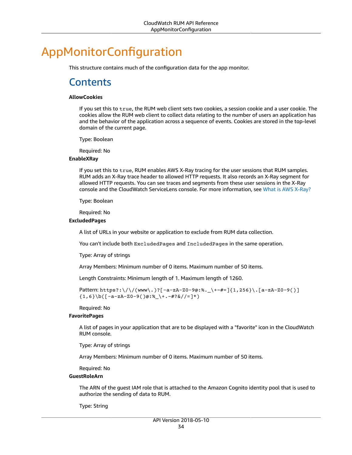# <span id="page-38-1"></span><span id="page-38-0"></span>AppMonitorConfiguration

This structure contains much of the configuration data for the app monitor.

### **Contents**

#### <span id="page-38-2"></span>**AllowCookies**

If you set this to true, the RUM web client sets two cookies, a session cookie and a user cookie. The cookies allow the RUM web client to collect data relating to the number of users an application has and the behavior of the application across a sequence of events. Cookies are stored in the top-level domain of the current page.

Type: Boolean

Required: No

#### <span id="page-38-3"></span>**EnableXRay**

If you set this to true, RUM enables AWS X-Ray tracing for the user sessions that RUM samples. RUM adds an X-Ray trace header to allowed HTTP requests. It also records an X-Ray segment for allowed HTTP requests. You can see traces and segments from these user sessions in the X-Ray console and the CloudWatch ServiceLens console. For more information, see What is AWS [X-Ray?](https://docs.aws.amazon.com/xray/latest/devguide/aws-xray.html)

Type: Boolean

Required: No

#### <span id="page-38-4"></span>**ExcludedPages**

A list of URLs in your website or application to exclude from RUM data collection.

You can't include both ExcludedPages and IncludedPages in the same operation.

Type: Array of strings

Array Members: Minimum number of 0 items. Maximum number of 50 items.

Length Constraints: Minimum length of 1. Maximum length of 1260.

```
Pattern: https?:\/\/(www\.)?[-a-zA-Z0-9@:%._\+~#=]{1,256}\.[a-zA-Z0-9()]
{1,6}\b([-a-zA-Z0-9()@:\&\&\+,-\#?\&//=]*)
```
Required: No

#### <span id="page-38-5"></span>**FavoritePages**

A list of pages in your application that are to be displayed with a "favorite" icon in the CloudWatch RUM console.

Type: Array of strings

Array Members: Minimum number of 0 items. Maximum number of 50 items.

Required: No

#### <span id="page-38-6"></span>**GuestRoleArn**

The ARN of the guest IAM role that is attached to the Amazon Cognito identity pool that is used to authorize the sending of data to RUM.

Type: String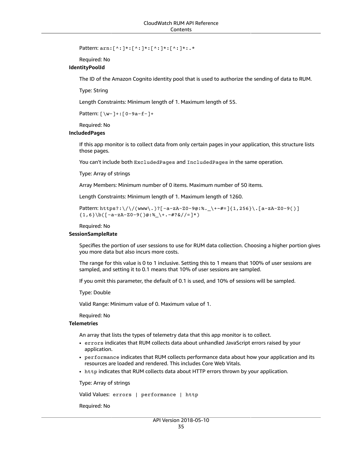Pattern: arn:[^:]\*:[^:]\*:[^:]\*:[^:]\*:.\*

Required: No

#### <span id="page-39-0"></span>**IdentityPoolId**

The ID of the Amazon Cognito identity pool that is used to authorize the sending of data to RUM.

Type: String

Length Constraints: Minimum length of 1. Maximum length of 55.

Pattern: [\w-]+:[0-9a-f-]+

Required: No

#### <span id="page-39-1"></span>**IncludedPages**

If this app monitor is to collect data from only certain pages in your application, this structure lists those pages.

You can't include both ExcludedPages and IncludedPages in the same operation.

Type: Array of strings

Array Members: Minimum number of 0 items. Maximum number of 50 items.

Length Constraints: Minimum length of 1. Maximum length of 1260.

Pattern: https?:\/\/(www\.)?[-a-zA-Z0-9@:%.\_\+~#=]{1,256}\.[a-zA-Z0-9()]  ${1,6}\b\{([-a-zA-Z0-9()@:%_{+}.~+~.~~+?&,/=]*\}$ 

Required: No

#### <span id="page-39-2"></span>**SessionSampleRate**

Specifies the portion of user sessions to use for RUM data collection. Choosing a higher portion gives you more data but also incurs more costs.

The range for this value is 0 to 1 inclusive. Setting this to 1 means that 100% of user sessions are sampled, and setting it to 0.1 means that 10% of user sessions are sampled.

If you omit this parameter, the default of 0.1 is used, and 10% of sessions will be sampled.

Type: Double

Valid Range: Minimum value of 0. Maximum value of 1.

Required: No

#### <span id="page-39-3"></span>**Telemetries**

An array that lists the types of telemetry data that this app monitor is to collect.

- errors indicates that RUM collects data about unhandled JavaScript errors raised by your application.
- performance indicates that RUM collects performance data about how your application and its resources are loaded and rendered. This includes Core Web Vitals.
- http indicates that RUM collects data about HTTP errors thrown by your application.

Type: Array of strings

Valid Values: errors | performance | http

Required: No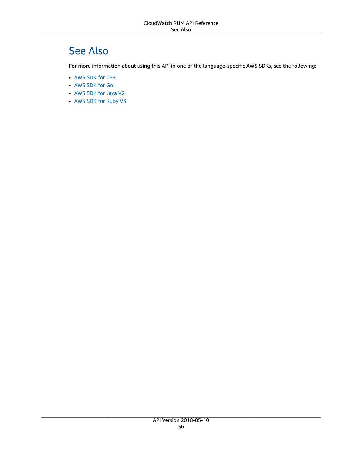# <span id="page-40-0"></span>See Also

- [AWS](https://docs.aws.amazon.com/goto/SdkForCpp/rum-2018-05-10/AppMonitorConfiguration) SDK for C++
- [AWS](https://docs.aws.amazon.com/goto/SdkForGoV1/rum-2018-05-10/AppMonitorConfiguration) SDK for Go
- [AWS](https://docs.aws.amazon.com/goto/SdkForJavaV2/rum-2018-05-10/AppMonitorConfiguration) SDK for Java V2
- AWS SDK for [Ruby](https://docs.aws.amazon.com/goto/SdkForRubyV3/rum-2018-05-10/AppMonitorConfiguration) V3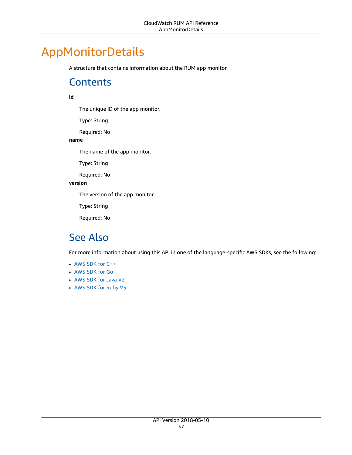# <span id="page-41-1"></span><span id="page-41-0"></span>AppMonitorDetails

A structure that contains information about the RUM app monitor.

# **Contents**

#### <span id="page-41-3"></span>**id**

The unique ID of the app monitor.

Type: String

Required: No

#### <span id="page-41-4"></span>**name**

The name of the app monitor.

Type: String

Required: No

#### <span id="page-41-5"></span>**version**

The version of the app monitor.

Type: String

Required: No

### <span id="page-41-2"></span>See Also

- [AWS](https://docs.aws.amazon.com/goto/SdkForCpp/rum-2018-05-10/AppMonitorDetails) SDK for C++
- [AWS](https://docs.aws.amazon.com/goto/SdkForGoV1/rum-2018-05-10/AppMonitorDetails) SDK for Go
- [AWS](https://docs.aws.amazon.com/goto/SdkForJavaV2/rum-2018-05-10/AppMonitorDetails) SDK for Java V2
- AWS SDK for [Ruby](https://docs.aws.amazon.com/goto/SdkForRubyV3/rum-2018-05-10/AppMonitorDetails) V3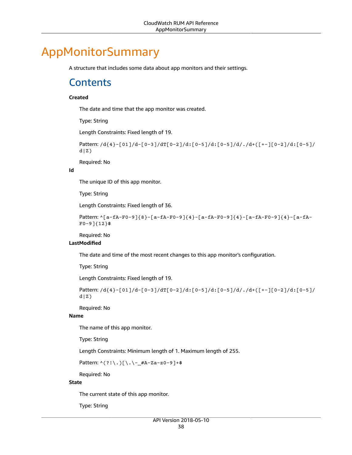# <span id="page-42-1"></span><span id="page-42-0"></span>AppMonitorSummary

A structure that includes some data about app monitors and their settings.

### **Contents**

#### <span id="page-42-2"></span>**Created**

The date and time that the app monitor was created.

Type: String

Length Constraints: Fixed length of 19.

```
Pattern: /d{4}-[01]/d-[0-3]/dT[0-2]/d:[0-5]/d:[0-5]/d/./d+([+-][0-2]/d:[0-5]/
d|Z)
```
Required: No

#### <span id="page-42-3"></span>**Id**

The unique ID of this app monitor.

Type: String

Length Constraints: Fixed length of 36.

```
Pattern: ^[a-fA-F0-9]{8}-[a-fA-F0-9]{4}-[a-fA-F0-9]{4}-[a-fA-F0-9]{4}-[a-fA-
F0-9]{12}$
```
Required: No

#### <span id="page-42-4"></span>**LastModified**

The date and time of the most recent changes to this app monitor's configuration.

Type: String

Length Constraints: Fixed length of 19.

```
Pattern: /d{4}-[01]/d-[0-3]/dT[0-2]/d:[0-5]/d:[0-5]/d/./d+([+-][0-2]/d:[0-5]/
d|Z)
```
Required: No

#### <span id="page-42-5"></span>**Name**

The name of this app monitor.

Type: String

Length Constraints: Minimum length of 1. Maximum length of 255.

Pattern: ^(?!\.)[\.\-\_#A-Za-z0-9]+\$

Required: No

#### <span id="page-42-6"></span>**State**

The current state of this app monitor.

Type: String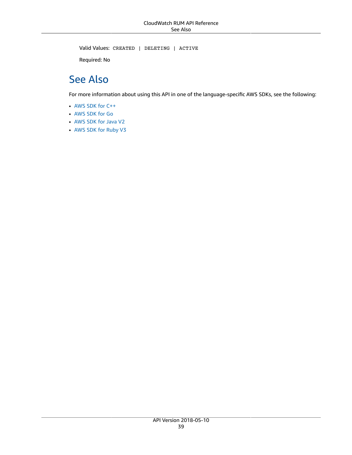Valid Values: CREATED | DELETING | ACTIVE

Required: No

# <span id="page-43-0"></span>See Also

- [AWS](https://docs.aws.amazon.com/goto/SdkForCpp/rum-2018-05-10/AppMonitorSummary) SDK for C++
- [AWS](https://docs.aws.amazon.com/goto/SdkForGoV1/rum-2018-05-10/AppMonitorSummary) SDK for Go
- [AWS](https://docs.aws.amazon.com/goto/SdkForJavaV2/rum-2018-05-10/AppMonitorSummary) SDK for Java V2
- AWS SDK for [Ruby](https://docs.aws.amazon.com/goto/SdkForRubyV3/rum-2018-05-10/AppMonitorSummary) V3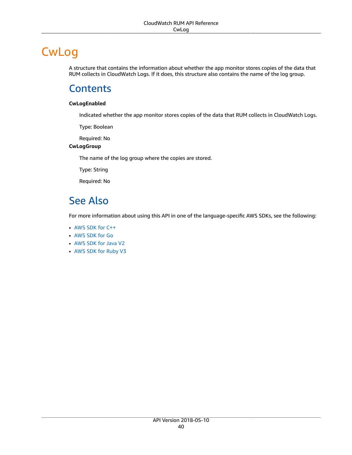# <span id="page-44-0"></span>**CwLog**

A structure that contains the information about whether the app monitor stores copies of the data that RUM collects in CloudWatch Logs. If it does, this structure also contains the name of the log group.

### <span id="page-44-1"></span>**Contents**

#### <span id="page-44-3"></span>**CwLogEnabled**

Indicated whether the app monitor stores copies of the data that RUM collects in CloudWatch Logs.

Type: Boolean

Required: No

#### <span id="page-44-4"></span>**CwLogGroup**

The name of the log group where the copies are stored.

Type: String

Required: No

# <span id="page-44-2"></span>See Also

- [AWS](https://docs.aws.amazon.com/goto/SdkForCpp/rum-2018-05-10/CwLog) SDK for C++
- [AWS](https://docs.aws.amazon.com/goto/SdkForGoV1/rum-2018-05-10/CwLog) SDK for Go
- [AWS](https://docs.aws.amazon.com/goto/SdkForJavaV2/rum-2018-05-10/CwLog) SDK for Java V2
- AWS SDK for [Ruby](https://docs.aws.amazon.com/goto/SdkForRubyV3/rum-2018-05-10/CwLog) V3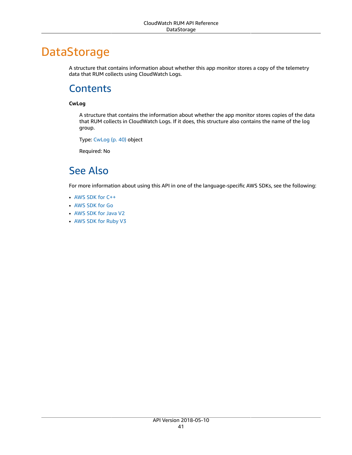# <span id="page-45-0"></span>DataStorage

A structure that contains information about whether this app monitor stores a copy of the telemetry data that RUM collects using CloudWatch Logs.

### <span id="page-45-1"></span>**Contents**

#### <span id="page-45-3"></span>**CwLog**

A structure that contains the information about whether the app monitor stores copies of the data that RUM collects in CloudWatch Logs. If it does, this structure also contains the name of the log group.

Type: [CwLog \(p. 40\)](#page-44-0) object

Required: No

# <span id="page-45-2"></span>See Also

- [AWS](https://docs.aws.amazon.com/goto/SdkForCpp/rum-2018-05-10/DataStorage) SDK for C++
- [AWS](https://docs.aws.amazon.com/goto/SdkForGoV1/rum-2018-05-10/DataStorage) SDK for Go
- [AWS](https://docs.aws.amazon.com/goto/SdkForJavaV2/rum-2018-05-10/DataStorage) SDK for Java V2
- AWS SDK for [Ruby](https://docs.aws.amazon.com/goto/SdkForRubyV3/rum-2018-05-10/DataStorage) V3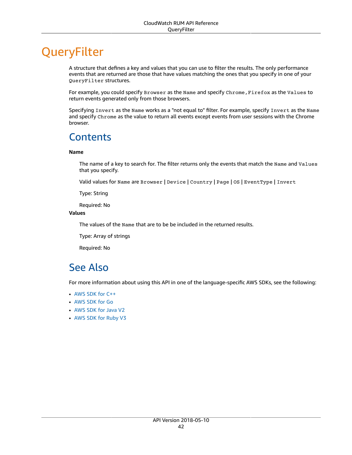# <span id="page-46-0"></span>**QueryFilter**

A structure that defines a key and values that you can use to filter the results. The only performance events that are returned are those that have values matching the ones that you specify in one of your QueryFilter structures.

For example, you could specify Browser as the Name and specify Chrome, Firefox as the Values to return events generated only from those browsers.

Specifying Invert as the Name works as a "not equal to" filter. For example, specify Invert as the Name and specify Chrome as the value to return all events except events from user sessions with the Chrome browser.

## <span id="page-46-1"></span>**Contents**

#### <span id="page-46-3"></span>**Name**

The name of a key to search for. The filter returns only the events that match the Name and Values that you specify.

Valid values for Name are Browser | Device | Country | Page | OS | EventType | Invert

Type: String

Required: No

#### <span id="page-46-4"></span>**Values**

The values of the Name that are to be be included in the returned results.

Type: Array of strings

Required: No

### <span id="page-46-2"></span>See Also

- [AWS](https://docs.aws.amazon.com/goto/SdkForCpp/rum-2018-05-10/QueryFilter) SDK for C++
- [AWS](https://docs.aws.amazon.com/goto/SdkForGoV1/rum-2018-05-10/QueryFilter) SDK for Go
- [AWS](https://docs.aws.amazon.com/goto/SdkForJavaV2/rum-2018-05-10/QueryFilter) SDK for Java V2
- AWS SDK for [Ruby](https://docs.aws.amazon.com/goto/SdkForRubyV3/rum-2018-05-10/QueryFilter) V3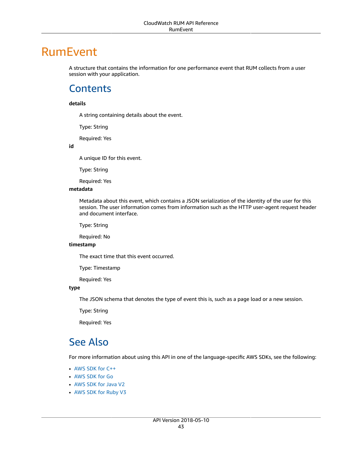# <span id="page-47-0"></span>RumEvent

A structure that contains the information for one performance event that RUM collects from a user session with your application.

### <span id="page-47-1"></span>**Contents**

#### <span id="page-47-3"></span>**details**

A string containing details about the event.

Type: String

Required: Yes

<span id="page-47-4"></span>**id**

A unique ID for this event.

Type: String

Required: Yes

#### <span id="page-47-5"></span>**metadata**

Metadata about this event, which contains a JSON serialization of the identity of the user for this session. The user information comes from information such as the HTTP user-agent request header and document interface.

Type: String

Required: No

#### <span id="page-47-6"></span>**timestamp**

The exact time that this event occurred.

Type: Timestamp

Required: Yes

#### <span id="page-47-7"></span>**type**

The JSON schema that denotes the type of event this is, such as a page load or a new session.

Type: String

Required: Yes

### <span id="page-47-2"></span>See Also

- [AWS](https://docs.aws.amazon.com/goto/SdkForCpp/rum-2018-05-10/RumEvent) SDK for C++
- [AWS](https://docs.aws.amazon.com/goto/SdkForGoV1/rum-2018-05-10/RumEvent) SDK for Go
- [AWS](https://docs.aws.amazon.com/goto/SdkForJavaV2/rum-2018-05-10/RumEvent) SDK for Java V2
- AWS SDK for [Ruby](https://docs.aws.amazon.com/goto/SdkForRubyV3/rum-2018-05-10/RumEvent) V3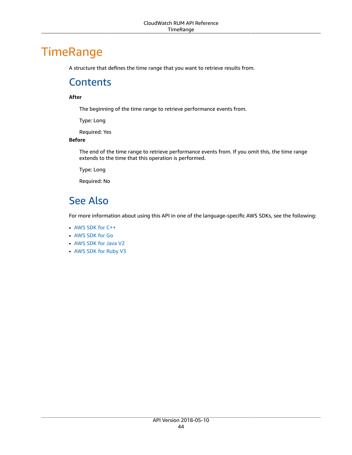# <span id="page-48-1"></span><span id="page-48-0"></span>**TimeRange**

A structure that defines the time range that you want to retrieve results from.

### **Contents**

#### <span id="page-48-3"></span>**After**

The beginning of the time range to retrieve performance events from.

Type: Long

Required: Yes

#### <span id="page-48-4"></span>**Before**

The end of the time range to retrieve performance events from. If you omit this, the time range extends to the time that this operation is performed.

Type: Long

Required: No

# <span id="page-48-2"></span>See Also

- [AWS](https://docs.aws.amazon.com/goto/SdkForCpp/rum-2018-05-10/TimeRange) SDK for C++
- [AWS](https://docs.aws.amazon.com/goto/SdkForGoV1/rum-2018-05-10/TimeRange) SDK for Go
- [AWS](https://docs.aws.amazon.com/goto/SdkForJavaV2/rum-2018-05-10/TimeRange) SDK for Java V2
- AWS SDK for [Ruby](https://docs.aws.amazon.com/goto/SdkForRubyV3/rum-2018-05-10/TimeRange) V3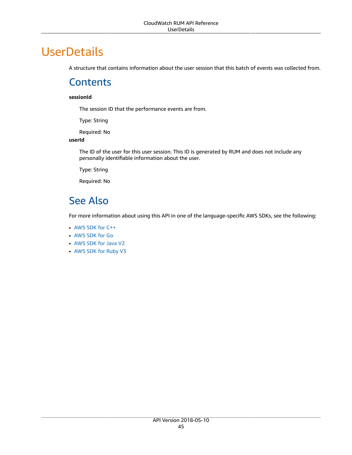# <span id="page-49-1"></span><span id="page-49-0"></span>**UserDetails**

A structure that contains information about the user session that this batch of events was collected from.

## **Contents**

#### <span id="page-49-3"></span>**sessionId**

The session ID that the performance events are from.

Type: String

Required: No

#### <span id="page-49-4"></span>**userId**

The ID of the user for this user session. This ID is generated by RUM and does not include any personally identifiable information about the user.

Type: String

Required: No

# <span id="page-49-2"></span>See Also

- [AWS](https://docs.aws.amazon.com/goto/SdkForCpp/rum-2018-05-10/UserDetails) SDK for C++
- [AWS](https://docs.aws.amazon.com/goto/SdkForGoV1/rum-2018-05-10/UserDetails) SDK for Go
- [AWS](https://docs.aws.amazon.com/goto/SdkForJavaV2/rum-2018-05-10/UserDetails) SDK for Java V2
- AWS SDK for [Ruby](https://docs.aws.amazon.com/goto/SdkForRubyV3/rum-2018-05-10/UserDetails) V3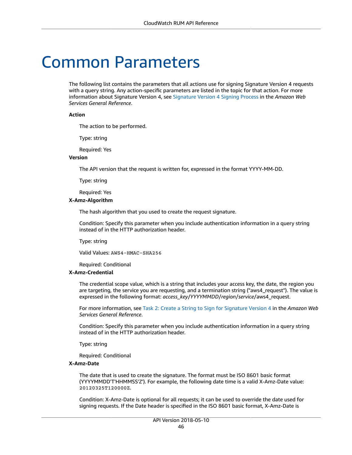# <span id="page-50-0"></span>Common Parameters

The following list contains the parameters that all actions use for signing Signature Version 4 requests with a query string. Any action-specific parameters are listed in the topic for that action. For more information about Signature Version 4, see [Signature](http://docs.aws.amazon.com/general/latest/gr/signature-version-4.html) Version 4 Signing Process in the *Amazon Web Services General Reference*.

#### **Action**

The action to be performed.

Type: string

Required: Yes

#### **Version**

The API version that the request is written for, expressed in the format YYYY-MM-DD.

Type: string

Required: Yes

#### **X-Amz-Algorithm**

The hash algorithm that you used to create the request signature.

Condition: Specify this parameter when you include authentication information in a query string instead of in the HTTP authorization header.

Type: string

Valid Values: AWS4-HMAC-SHA256

Required: Conditional

#### **X-Amz-Credential**

The credential scope value, which is a string that includes your access key, the date, the region you are targeting, the service you are requesting, and a termination string ("aws4\_request"). The value is expressed in the following format: *access\_key*/*YYYYMMDD*/*region*/*service*/aws4\_request.

For more information, see Task 2: Create a String to Sign for [Signature](http://docs.aws.amazon.com/general/latest/gr/sigv4-create-string-to-sign.html) Version 4 in the *Amazon Web Services General Reference*.

Condition: Specify this parameter when you include authentication information in a query string instead of in the HTTP authorization header.

Type: string

Required: Conditional

#### **X-Amz-Date**

The date that is used to create the signature. The format must be ISO 8601 basic format (YYYYMMDD'T'HHMMSS'Z'). For example, the following date time is a valid X-Amz-Date value: 20120325T120000Z.

Condition: X-Amz-Date is optional for all requests; it can be used to override the date used for signing requests. If the Date header is specified in the ISO 8601 basic format, X-Amz-Date is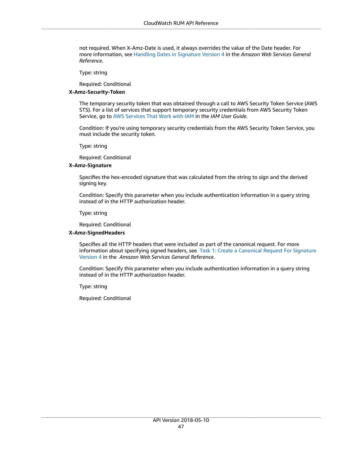not required. When X-Amz-Date is used, it always overrides the value of the Date header. For more information, see Handling Dates in [Signature](http://docs.aws.amazon.com/general/latest/gr/sigv4-date-handling.html) Version 4 in the *Amazon Web Services General Reference*.

Type: string

Required: Conditional

#### **X-Amz-Security-Token**

The temporary security token that was obtained through a call to AWS Security Token Service (AWS STS). For a list of services that support temporary security credentials from AWS Security Token Service, go to AWS [Services](http://docs.aws.amazon.com/IAM/latest/UserGuide/reference_aws-services-that-work-with-iam.html) That Work with IAM in the *IAM User Guide*.

Condition: If you're using temporary security credentials from the AWS Security Token Service, you must include the security token.

Type: string

Required: Conditional

#### **X-Amz-Signature**

Specifies the hex-encoded signature that was calculated from the string to sign and the derived signing key.

Condition: Specify this parameter when you include authentication information in a query string instead of in the HTTP authorization header.

Type: string

Required: Conditional

#### **X-Amz-SignedHeaders**

Specifies all the HTTP headers that were included as part of the canonical request. For more information about specifying signed headers, see Task 1: Create a [Canonical](http://docs.aws.amazon.com/general/latest/gr/sigv4-create-canonical-request.html) Request For Signature [Version](http://docs.aws.amazon.com/general/latest/gr/sigv4-create-canonical-request.html) 4 in the *Amazon Web Services General Reference*.

Condition: Specify this parameter when you include authentication information in a query string instead of in the HTTP authorization header.

Type: string

Required: Conditional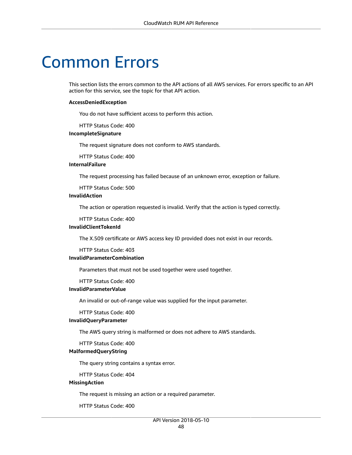# <span id="page-52-0"></span>Common Errors

This section lists the errors common to the API actions of all AWS services. For errors specific to an API action for this service, see the topic for that API action.

#### **AccessDeniedException**

You do not have sufficient access to perform this action.

HTTP Status Code: 400

#### **IncompleteSignature**

The request signature does not conform to AWS standards.

HTTP Status Code: 400

#### **InternalFailure**

The request processing has failed because of an unknown error, exception or failure.

HTTP Status Code: 500

#### **InvalidAction**

The action or operation requested is invalid. Verify that the action is typed correctly.

HTTP Status Code: 400

#### **InvalidClientTokenId**

The X.509 certificate or AWS access key ID provided does not exist in our records.

HTTP Status Code: 403

#### **InvalidParameterCombination**

Parameters that must not be used together were used together.

HTTP Status Code: 400

#### **InvalidParameterValue**

An invalid or out-of-range value was supplied for the input parameter.

#### HTTP Status Code: 400

#### **InvalidQueryParameter**

The AWS query string is malformed or does not adhere to AWS standards.

HTTP Status Code: 400

#### **MalformedQueryString**

The query string contains a syntax error.

HTTP Status Code: 404

#### **MissingAction**

The request is missing an action or a required parameter.

HTTP Status Code: 400